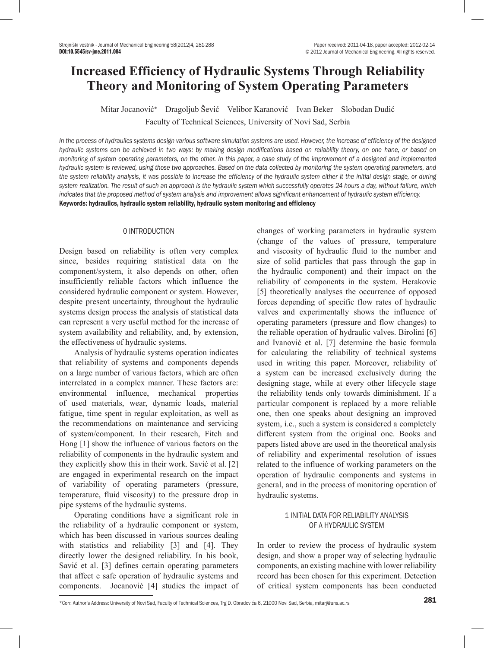# **Increased Efficiency of Hydraulic Systems Through Reliability Theory and Monitoring of System Operating Parameters**

Mitar Jocanović\* – Dragoljub Šević – Velibor Karanović – Ivan Beker – Slobodan Dudić Faculty of Technical Sciences, University of Novi Sad, Serbia

*In the process of hydraulics systems design various software simulation systems are used. However, the increase of efficiency of the designed hydraulic systems can be achieved in two ways: by making design modifications based on reliability theory, on one hane, or based on monitoring of system operating parameters, on the other. In this paper, a case study of the improvement of a designed and implemented hydraulic system is reviewed, using those two approaches. Based on the data collected by monitoring the system operating parameters, and the system reliability analysis, it was possible to increase the efficiency of the hydraulic system either it the initial design stage, or during system realization. The result of such an approach is the hydraulic system which successfully operates 24 hours a day, without failure, which indicates that the proposed method of system analysis and improvement allows significant enhancement of hydraulic system efficiency.* Keywords: hydraulics, hydraulic system reliability, hydraulic system monitoring and efficiency

# 0 INTRODUCTION

Design based on reliability is often very complex since, besides requiring statistical data on the component/system, it also depends on other, often insufficiently reliable factors which influence the considered hydraulic component or system. However, despite present uncertainty, throughout the hydraulic systems design process the analysis of statistical data can represent a very useful method for the increase of system availability and reliability, and, by extension, the effectiveness of hydraulic systems.

Analysis of hydraulic systems operation indicates that reliability of systems and components depends on a large number of various factors, which are often interrelated in a complex manner. These factors are: environmental influence, mechanical properties of used materials, wear, dynamic loads, material fatigue, time spent in regular exploitation, as well as the recommendations on maintenance and servicing of system/component. In their research, Fitch and Hong [1] show the influence of various factors on the reliability of components in the hydraulic system and they explicitly show this in their work. Savić et al. [2] are engaged in experimental research on the impact of variability of operating parameters (pressure, temperature, fluid viscosity) to the pressure drop in pipe systems of the hydraulic systems.

Operating conditions have a significant role in the reliability of a hydraulic component or system, which has been discussed in various sources dealing with statistics and reliability [3] and [4]. They directly lower the designed reliability. In his book, Savić et al. [3] defines certain operating parameters that affect e safe operation of hydraulic systems and components. Jocanović [4] studies the impact of changes of working parameters in hydraulic system (change of the values of pressure, temperature and viscosity of hydraulic fluid to the number and size of solid particles that pass through the gap in the hydraulic component) and their impact on the reliability of components in the system. Herakovic [5] theoretically analyses the occurrence of opposed forces depending of specific flow rates of hydraulic valves and experimentally shows the influence of operating parameters (pressure and flow changes) to the reliable operation of hydraulic valves. Birolini [6] and Ivanović et al. [7] determine the basic formula for calculating the reliability of technical systems used in writing this paper. Moreover, reliability of a system can be increased exclusively during the designing stage, while at every other lifecycle stage the reliability tends only towards diminishment. If a particular component is replaced by a more reliable one, then one speaks about designing an improved system, i.e., such a system is considered a completely different system from the original one. Books and papers listed above are used in the theoretical analysis of reliability and experimental resolution of issues related to the influence of working parameters on the operation of hydraulic components and systems in general, and in the process of monitoring operation of hydraulic systems.

# 1 INITIAL DATA FOR RELIABILITY ANALYSIS OF A HYDRAULIC SYSTEM

In order to review the process of hydraulic system design, and show a proper way of selecting hydraulic components, an existing machine with lower reliability record has been chosen for this experiment. Detection of critical system components has been conducted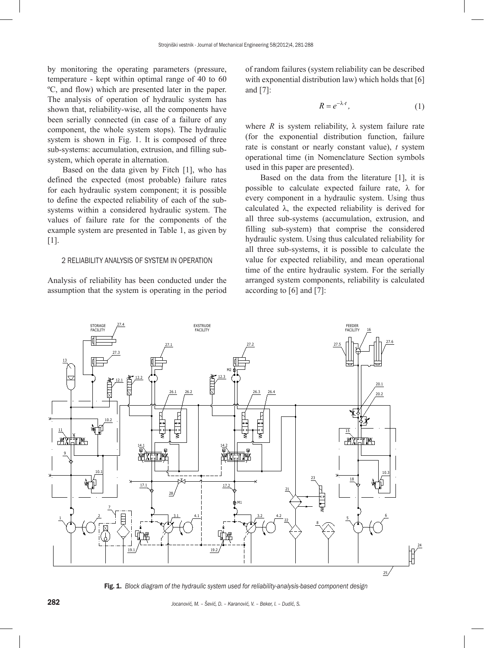by monitoring the operating parameters (pressure, temperature - kept within optimal range of 40 to 60 ºC, and flow) which are presented later in the paper. The analysis of operation of hydraulic system has shown that, reliability-wise, all the components have been serially connected (in case of a failure of any component, the whole system stops). The hydraulic system is shown in Fig. 1. It is composed of three sub-systems: accumulation, extrusion, and filling subsystem, which operate in alternation.

Based on the data given by Fitch [1], who has defined the expected (most probable) failure rates for each hydraulic system component; it is possible to define the expected reliability of each of the subsystems within a considered hydraulic system. The values of failure rate for the components of the example system are presented in Table 1, as given by [1].

### 2 RELIABILITY ANALYSIS OF SYSTEM IN OPERATION

Analysis of reliability has been conducted under the assumption that the system is operating in the period of random failures (system reliability can be described with exponential distribution law) which holds that [6] and [7]:

$$
R = e^{-\lambda \cdot t},\tag{1}
$$

where *R* is system reliability,  $\lambda$  system failure rate (for the exponential distribution function, failure rate is constant or nearly constant value), *t* system operational time (in Nomenclature Section symbols used in this paper are presented).

Based on the data from the literature [1], it is possible to calculate expected failure rate,  $\lambda$  for every component in a hydraulic system. Using thus calculated  $\lambda$ , the expected reliability is derived for all three sub-systems (accumulation, extrusion, and filling sub-system) that comprise the considered hydraulic system. Using thus calculated reliability for all three sub-systems, it is possible to calculate the value for expected reliability, and mean operational time of the entire hydraulic system. For the serially arranged system components, reliability is calculated according to [6] and [7]:



Fig. 1. *Block diagram of the hydraulic system used for reliability-analysis-based component design*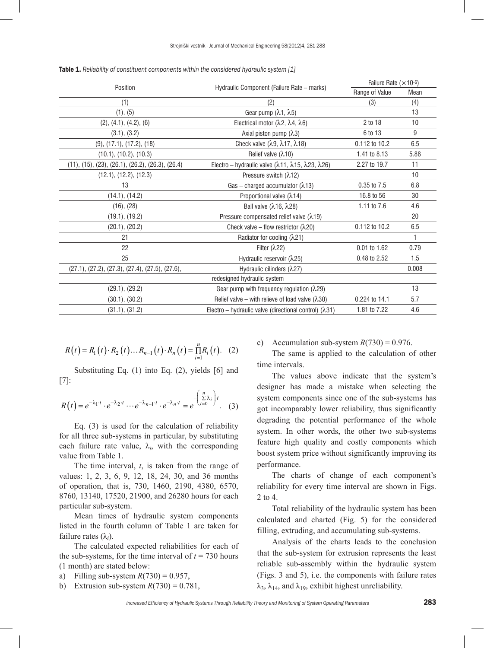| Position                                           | Hydraulic Component (Failure Rate - marks)                                         | Failure Rate $(x10-6)$ |       |
|----------------------------------------------------|------------------------------------------------------------------------------------|------------------------|-------|
|                                                    |                                                                                    | Range of Value         | Mean  |
| (1)                                                | (2)                                                                                | (3)                    | (4)   |
| (1), (5)                                           | Gear pump (λ1, λ5)                                                                 |                        | 13    |
| (2), (4.1), (4.2), (6)                             | Electrical motor $(\lambda 2, \lambda 4, \lambda 6)$                               | 2 to 18                | 10    |
| (3.1), (3.2)                                       | Axial piston pump $(\lambda 3)$                                                    | 6 to 13                | 9     |
| $(9)$ , $(17.1)$ , $(17.2)$ , $(18)$               | Check valve $(\lambda 9, \lambda 17, \lambda 18)$                                  | 0.112 to 10.2          | 6.5   |
| (10.1), (10.2), (10.3)                             | Relief valve $(\lambda$ 10)                                                        | 1.41 to 8.13           | 5.88  |
| $(11), (15), (23), (26.1), (26.2), (26.3), (26.4)$ | Electro - hydraulic valve $(\lambda$ 11, $\lambda$ 15, $\lambda$ 23, $\lambda$ 26) | 2.27 to 19.7           | 11    |
| (12.1), (12.2), (12.3)                             | Pressure switch ( $\lambda$ 12)                                                    |                        | 10    |
| 13                                                 | Gas - charged accumulator $(\lambda$ 13)                                           | 0.35 to 7.5            | 6.8   |
| (14.1), (14.2)                                     | Proportional valve (λ14)                                                           | 16.8 to 56             | 30    |
| (16), (28)                                         | Ball valve (λ16, λ28)                                                              | 1.11 to 7.6            | 4.6   |
| (19.1), (19.2)                                     | Pressure compensated relief valve $(\lambda 19)$                                   |                        | 20    |
| (20.1), (20.2)                                     | Check valve – flow restrictor ( $\lambda$ 20)                                      | 0.112 to 10.2          | 6.5   |
| 21                                                 | Radiator for cooling $(\lambda 21)$                                                |                        | 1     |
| 22                                                 | Filter $(\lambda 22)$                                                              | 0.01 to 1.62           | 0.79  |
| 25                                                 | Hydraulic reservoir $(\lambda 25)$                                                 | 0.48 to 2.52           | 1.5   |
| $(27.1), (27.2), (27.3), (27.4), (27.5), (27.6),$  | Hydraulic cilinders $(\lambda 27)$                                                 |                        | 0.008 |
|                                                    | redesigned hydraulic system                                                        |                        |       |
| (29.1), (29.2)                                     | Gear pump with frequency regulation $(\lambda 29)$                                 |                        | 13    |
| (30.1), (30.2)                                     | Relief valve – with relieve of load valve $(\lambda 30)$                           | 0.224 to 14.1          | 5.7   |
| (31.1), (31.2)                                     | Electro – hydraulic valve (directional control) $(\lambda 31)$                     | 1.81 to 7.22           | 4.6   |

Table 1. *Reliability of constituent components within the considered hydraulic system [1]*

$$
R(t) = R_1(t) \cdot R_2(t) \dots R_{n-1}(t) \cdot R_n(t) = \prod_{i=1}^{n} R_i(t). \quad (2)
$$

Substituting Eq. (1) into Eq. (2), yields [6] and [7]:

$$
R(t) = e^{-\lambda_1 \cdot t} \cdot e^{-\lambda_2 \cdot t} \cdots e^{-\lambda_{n-1} \cdot t} \cdot e^{-\lambda_n \cdot t} = e^{-\begin{pmatrix} \sum\limits_{i=0}^{n} \lambda_i \\ i=0 \end{pmatrix}t}.
$$
 (3)

Eq. (3) is used for the calculation of reliability for all three sub-systems in particular, by substituting each failure rate value,  $\lambda_i$ , with the corresponding value from Table 1.

The time interval, *t*, is taken from the range of values: 1, 2, 3, 6, 9, 12, 18, 24, 30, and 36 months of operation, that is, 730, 1460, 2190, 4380, 6570, 8760, 13140, 17520, 21900, and 26280 hours for each particular sub-system.

Mean times of hydraulic system components listed in the fourth column of Table 1 are taken for failure rates (λ*<sup>i</sup>* ).

The calculated expected reliabilities for each of the sub-systems, for the time interval of  $t = 730$  hours (1 month) are stated below:

- a) Filling sub-system  $R(730) = 0.957$ ,
- b) Extrusion sub-system  $R(730) = 0.781$ ,

c) Accumulation sub-system  $R(730) = 0.976$ .

The same is applied to the calculation of other time intervals.

The values above indicate that the system's designer has made a mistake when selecting the system components since one of the sub-systems has got incomparably lower reliability, thus significantly degrading the potential performance of the whole system. In other words, the other two sub-systems feature high quality and costly components which boost system price without significantly improving its performance.

The charts of change of each component's reliability for every time interval are shown in Figs. 2 to 4.

Total reliability of the hydraulic system has been calculated and charted (Fig. 5) for the considered filling, extruding, and accumulating sub-systems.

Analysis of the charts leads to the conclusion that the sub-system for extrusion represents the least reliable sub-assembly within the hydraulic system (Figs. 3 and 5), i.e. the components with failure rates  $\lambda_3$ ,  $\lambda_{14}$ , and  $\lambda_{19}$ , exhibit highest unreliability.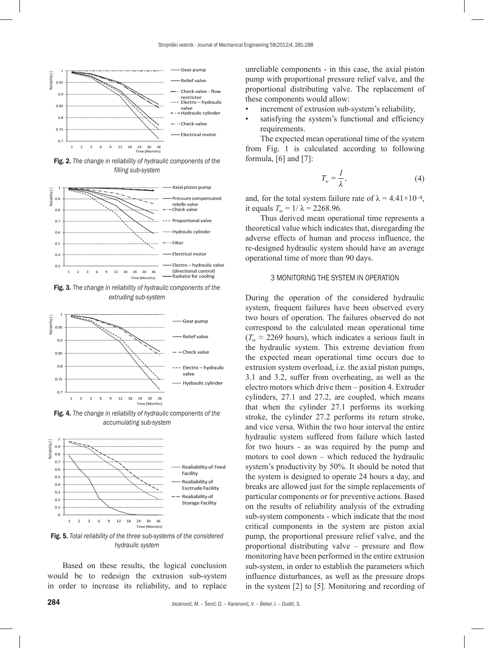

Fig. 2. *The change in reliability of hydraulic components of the filling sub-system*



Fig. 3. *The change in reliability of hydraulic components of the extruding sub-system*



Fig. 4. *The change in reliability of hydraulic components of the accumulating sub-system*



Fig. 5. *Total reliability of the three sub-systems of the considered hydraulic system*

Based on these results, the logical conclusion would be to redesign the extrusion sub-system in order to increase its reliability, and to replace

- increment of extrusion sub-system's reliability,
- satisfying the system's functional and efficiency requirements.

The expected mean operational time of the system from Fig. 1 is calculated according to following formula, [6] and [7]:

$$
T_w = \frac{1}{\lambda},\tag{4}
$$

and, for the total system failure rate of  $\lambda = 4.41 \times 10^{-4}$ , it equals  $T_w = 1/\lambda = 2268.96$ .

Thus derived mean operational time represents a theoretical value which indicates that, disregarding the adverse effects of human and process influence, the re-designed hydraulic system should have an average operational time of more than 90 days.

#### 3 MONITORING THE SYSTEM IN OPERATION

During the operation of the considered hydraulic system, frequent failures have been observed every two hours of operation. The failures observed do not correspond to the calculated mean operational time  $(T_w \approx 2269$  hours), which indicates a serious fault in the hydraulic system. This extreme deviation from the expected mean operational time occurs due to extrusion system overload, i.e. the axial piston pumps, 3.1 and 3.2, suffer from overheating, as well as the electro motors which drive them – position 4. Extruder cylinders, 27.1 and 27.2, are coupled, which means that when the cylinder 27.1 performs its working stroke, the cylinder 27.2 performs its return stroke, and vice versa. Within the two hour interval the entire hydraulic system suffered from failure which lasted for two hours - as was required by the pump and motors to cool down – which reduced the hydraulic system's productivity by 50%. It should be noted that the system is designed to operate 24 hours a day, and breaks are allowed just for the simple replacements of particular components or for preventive actions. Based on the results of reliability analysis of the extruding sub-system components - which indicate that the most critical components in the system are piston axial pump, the proportional pressure relief valve, and the proportional distributing valve – pressure and flow monitoring have been performed in the entire extrusion sub-system, in order to establish the parameters which influence disturbances, as well as the pressure drops in the system [2] to [5]. Monitoring and recording of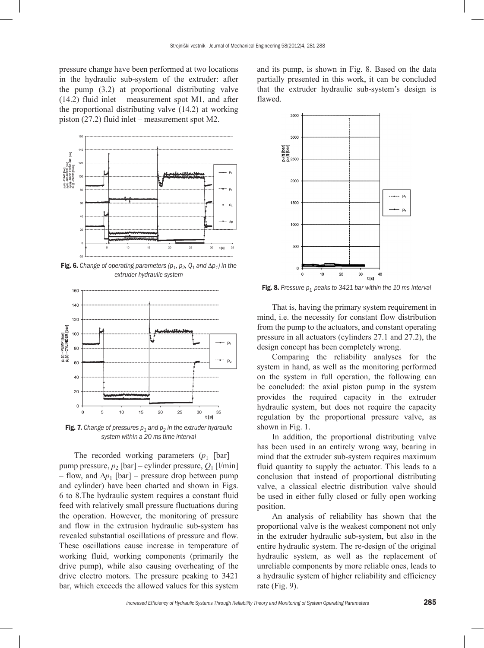pressure change have been performed at two locations in the hydraulic sub-system of the extruder: after the pump (3.2) at proportional distributing valve (14.2) fluid inlet – measurement spot M1, and after the proportional distributing valve (14.2) at working piston (27.2) fluid inlet – measurement spot M2.



Fig. 6. *Change of operating parameters (* $p_1$ *,*  $p_2$ *,*  $Q_1$  *and*  $\Delta p_1$ *) in the extruder hydraulic system*



Fig. 7. Change of pressures  $p_1$  and  $p_2$  in the extruder hydraulic *system within a 20 ms time interval*

The recorded working parameters  $(p_1$  [bar] – pump pressure, *p*2 [bar] – cylinder pressure, *Q*1 [l/min] – flow, and  $\Delta p_1$  [bar] – pressure drop between pump and cylinder) have been charted and shown in Figs. 6 to 8.The hydraulic system requires a constant fluid feed with relatively small pressure fluctuations during the operation. However, the monitoring of pressure and flow in the extrusion hydraulic sub-system has revealed substantial oscillations of pressure and flow. These oscillations cause increase in temperature of working fluid, working components (primarily the drive pump), while also causing overheating of the drive electro motors. The pressure peaking to 3421 bar, which exceeds the allowed values for this system

and its pump, is shown in Fig. 8. Based on the data partially presented in this work, it can be concluded that the extruder hydraulic sub-system's design is flawed.



**Fig. 8.** Pressure  $p_1$  peaks to 3421 bar within the 10 ms interval

That is, having the primary system requirement in mind, i.e. the necessity for constant flow distribution from the pump to the actuators, and constant operating pressure in all actuators (cylinders 27.1 and 27.2), the design concept has been completely wrong.

Comparing the reliability analyses for the system in hand, as well as the monitoring performed on the system in full operation, the following can be concluded: the axial piston pump in the system provides the required capacity in the extruder hydraulic system, but does not require the capacity regulation by the proportional pressure valve, as shown in Fig. 1.

In addition, the proportional distributing valve has been used in an entirely wrong way, bearing in mind that the extruder sub-system requires maximum fluid quantity to supply the actuator. This leads to a conclusion that instead of proportional distributing valve, a classical electric distribution valve should be used in either fully closed or fully open working position.

An analysis of reliability has shown that the proportional valve is the weakest component not only in the extruder hydraulic sub-system, but also in the entire hydraulic system. The re-design of the original hydraulic system, as well as the replacement of unreliable components by more reliable ones, leads to a hydraulic system of higher reliability and efficiency rate (Fig. 9).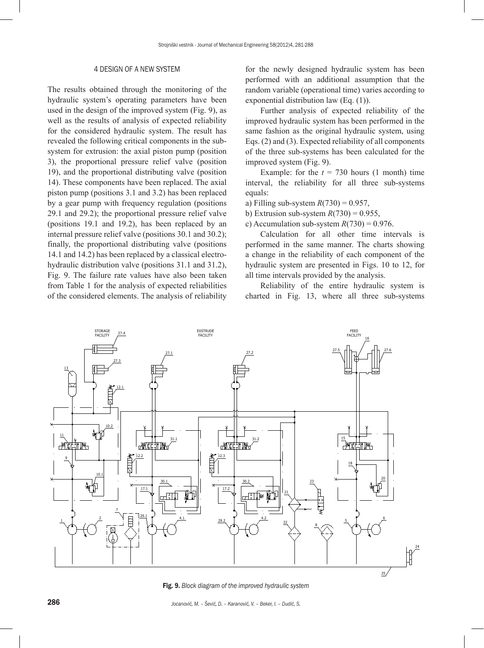#### 4 DESIGN OF A NEW SYSTEM

The results obtained through the monitoring of the hydraulic system's operating parameters have been used in the design of the improved system (Fig. 9), as well as the results of analysis of expected reliability for the considered hydraulic system. The result has revealed the following critical components in the subsystem for extrusion: the axial piston pump (position 3), the proportional pressure relief valve (position 19), and the proportional distributing valve (position 14). These components have been replaced. The axial piston pump (positions 3.1 and 3.2) has been replaced by a gear pump with frequency regulation (positions 29.1 and 29.2); the proportional pressure relief valve (positions 19.1 and 19.2), has been replaced by an internal pressure relief valve (positions 30.1 and 30.2); finally, the proportional distributing valve (positions 14.1 and 14.2) has been replaced by a classical electrohydraulic distribution valve (positions 31.1 and 31.2), Fig. 9. The failure rate values have also been taken from Table 1 for the analysis of expected reliabilities of the considered elements. The analysis of reliability for the newly designed hydraulic system has been performed with an additional assumption that the random variable (operational time) varies according to exponential distribution law (Eq. (1)).

Further analysis of expected reliability of the improved hydraulic system has been performed in the same fashion as the original hydraulic system, using Eqs. (2) and (3). Expected reliability of all components of the three sub-systems has been calculated for the improved system (Fig. 9).

Example: for the  $t = 730$  hours (1 month) time interval, the reliability for all three sub-systems equals:

- a) Filling sub-system *R*(730) = 0.957,
- b) Extrusion sub-system  $R(730) = 0.955$ ,
- c) Accumulation sub-system  $R(730) = 0.976$ .

Calculation for all other time intervals is performed in the same manner. The charts showing a change in the reliability of each component of the hydraulic system are presented in Figs. 10 to 12, for all time intervals provided by the analysis.

Reliability of the entire hydraulic system is charted in Fig. 13, where all three sub-systems



Fig. 9. *Block diagram of the improved hydraulic system*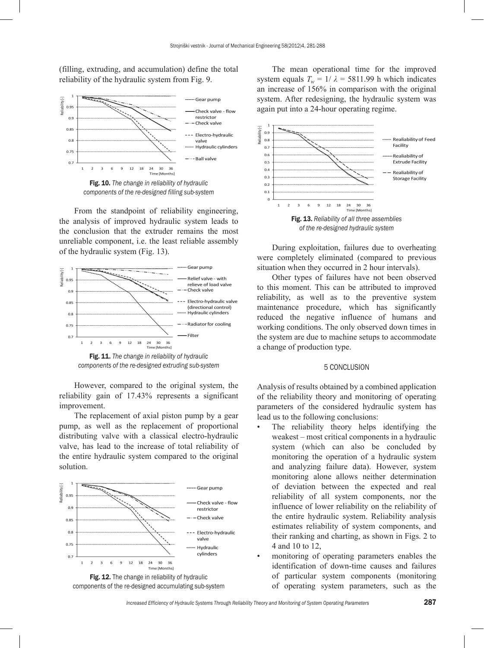(filling, extruding, and accumulation) define the total reliability of the hydraulic system from Fig. 9.



*components of the re-designed filling sub-system*

From the standpoint of reliability engineering, the analysis of improved hydraulic system leads to the conclusion that the extruder remains the most unreliable component, i.e. the least reliable assembly of the hydraulic system (Fig. 13).



Fig. 11. *The change in reliability of hydraulic components of the re-designed extruding sub-system*

However, compared to the original system, the reliability gain of 17.43% represents a significant improvement.

The replacement of axial piston pump by a gear pump, as well as the replacement of proportional distributing valve with a classical electro-hydraulic valve, has lead to the increase of total reliability of the entire hydraulic system compared to the original solution.





The mean operational time for the improved system equals  $T_w = 1/\lambda = 5811.99$  h which indicates an increase of 156% in comparison with the original system. After redesigning, the hydraulic system was again put into a 24-hour operating regime.



During exploitation, failures due to overheating were completely eliminated (compared to previous situation when they occurred in 2 hour intervals).

Other types of failures have not been observed to this moment. This can be attributed to improved reliability, as well as to the preventive system maintenance procedure, which has significantly reduced the negative influence of humans and working conditions. The only observed down times in the system are due to machine setups to accommodate a change of production type.

#### 5 CONCLUSION

Analysis of results obtained by a combined application of the reliability theory and monitoring of operating parameters of the considered hydraulic system has lead us to the following conclusions:

- The reliability theory helps identifying the weakest – most critical components in a hydraulic system (which can also be concluded by monitoring the operation of a hydraulic system and analyzing failure data). However, system monitoring alone allows neither determination of deviation between the expected and real reliability of all system components, nor the influence of lower reliability on the reliability of the entire hydraulic system. Reliability analysis estimates reliability of system components, and their ranking and charting, as shown in Figs. 2 to 4 and 10 to 12,
- monitoring of operating parameters enables the identification of down-time causes and failures of particular system components (monitoring of operating system parameters, such as the

*Increased Efficiency of Hydraulic Systems Through Reliability Theory and Monitoring of System Operating Parameters* 287